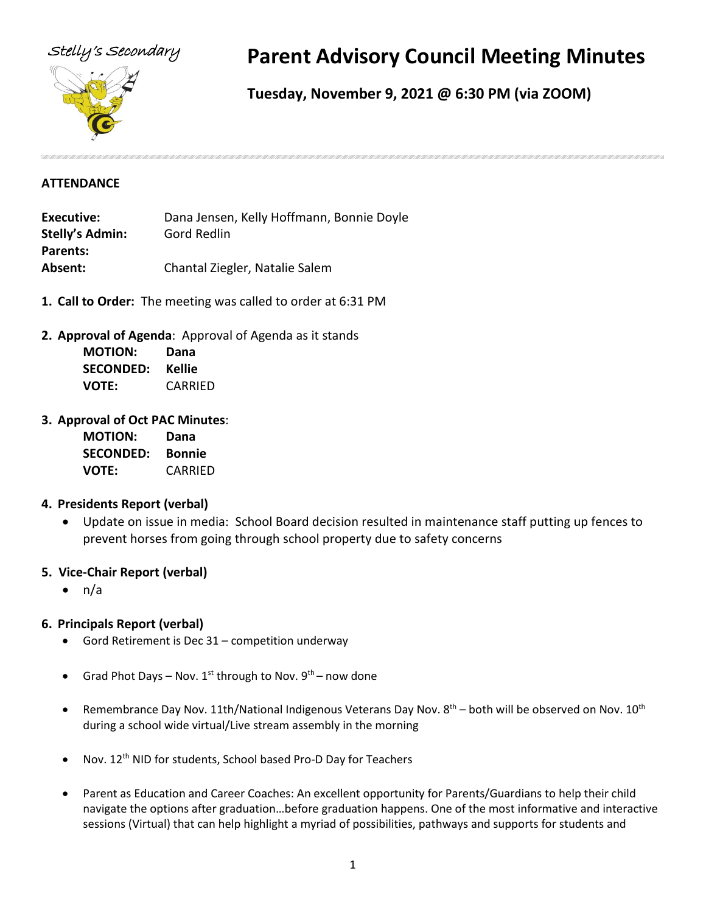

# Stelly's Secondary **Parent Advisory Council Meeting Minutes**

## **Tuesday, November 9, 2021 @ 6:30 PM (via ZOOM)**

#### **ATTENDANCE**

**Executive:** Dana Jensen, Kelly Hoffmann, Bonnie Doyle **Stelly's Admin:** Gord Redlin **Parents: Absent:** Chantal Ziegler, Natalie Salem

- **1. Call to Order:** The meeting was called to order at 6:31 PM
- **2. Approval of Agenda**: Approval of Agenda as it stands

| <b>MOTION:</b>   | Dana           |
|------------------|----------------|
| <b>SECONDED:</b> | Kellie         |
| <b>VOTE:</b>     | <b>CARRIED</b> |

#### **3. Approval of Oct PAC Minutes**:

| <b>MOTION:</b>   | Dana          |
|------------------|---------------|
| <b>SECONDED:</b> | <b>Bonnie</b> |
| <b>VOTE:</b>     | CARRIED       |

#### **4. Presidents Report (verbal)**

• Update on issue in media: School Board decision resulted in maintenance staff putting up fences to prevent horses from going through school property due to safety concerns

#### **5. Vice-Chair Report (verbal)**

• n/a

#### **6. Principals Report (verbal)**

- Gord Retirement is Dec 31 competition underway
- Grad Phot Days Nov.  $1^{st}$  through to Nov.  $9^{th}$  now done
- Remembrance Day Nov. 11th/National Indigenous Veterans Day Nov.  $8^{th}$  both will be observed on Nov.  $10^{th}$ during a school wide virtual/Live stream assembly in the morning
- Nov. 12<sup>th</sup> NID for students, School based Pro-D Day for Teachers
- Parent as Education and Career Coaches: An excellent opportunity for Parents/Guardians to help their child navigate the options after graduation…before graduation happens. One of the most informative and interactive sessions (Virtual) that can help highlight a myriad of possibilities, pathways and supports for students and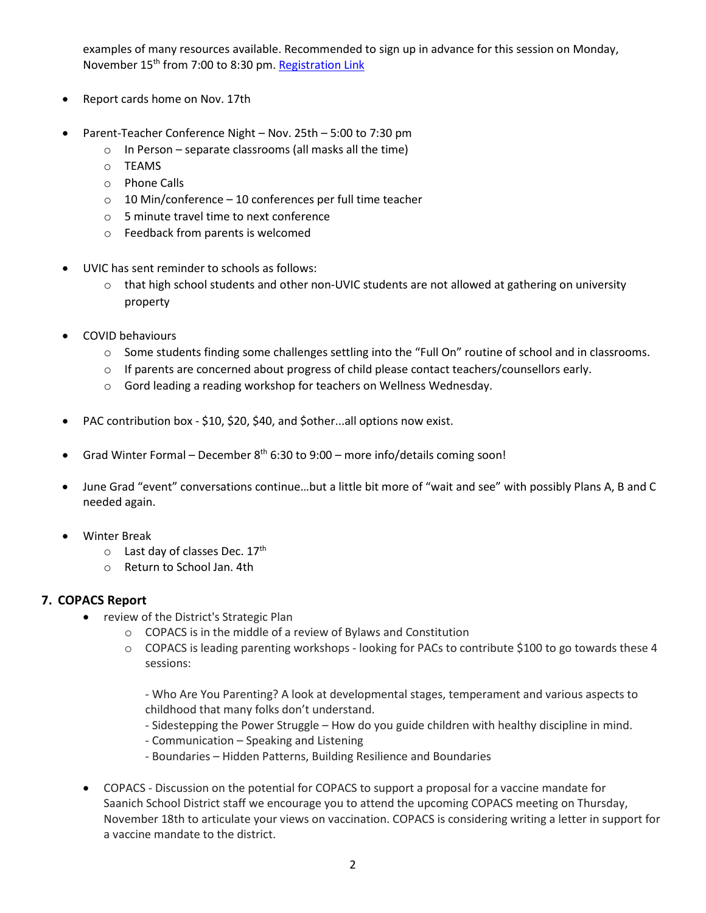examples of many resources available. Recommended to sign up in advance for this session on Monday, November 15th from 7:00 to 8:30 pm[. Registration Link](https://sfu.zoom.us/meeting/register/u5Esfu-tqjstE9LVYMeoYc9WBhqAlRAp5Pkt)

- Report cards home on Nov. 17th
- Parent-Teacher Conference Night Nov. 25th 5:00 to 7:30 pm
	- o In Person separate classrooms (all masks all the time)
	- o TEAMS
	- o Phone Calls
	- o 10 Min/conference 10 conferences per full time teacher
	- o 5 minute travel time to next conference
	- o Feedback from parents is welcomed
- UVIC has sent reminder to schools as follows:
	- o that high school students and other non-UVIC students are not allowed at gathering on university property
- COVID behaviours
	- o Some students finding some challenges settling into the "Full On" routine of school and in classrooms.
	- $\circ$  If parents are concerned about progress of child please contact teachers/counsellors early.
	- o Gord leading a reading workshop for teachers on Wellness Wednesday.
- PAC contribution box \$10, \$20, \$40, and \$other...all options now exist.
- Grad Winter Formal December  $8<sup>th</sup>$  6:30 to 9:00 more info/details coming soon!
- June Grad "event" conversations continue…but a little bit more of "wait and see" with possibly Plans A, B and C needed again.
- Winter Break
	- $\circ$  Last day of classes Dec. 17<sup>th</sup>
	- o Return to School Jan. 4th

#### **7. COPACS Report**

- review of the District's Strategic Plan
	- o COPACS is in the middle of a review of Bylaws and Constitution
	- o COPACS is leading parenting workshops looking for PACs to contribute \$100 to go towards these 4 sessions:

- Who Are You Parenting? A look at developmental stages, temperament and various aspects to childhood that many folks don't understand.

- Sidestepping the Power Struggle How do you guide children with healthy discipline in mind.
- Communication Speaking and Listening
- Boundaries Hidden Patterns, Building Resilience and Boundaries
- COPACS Discussion on the potential for COPACS to support a proposal for a vaccine mandate for Saanich School District staff we encourage you to attend the upcoming COPACS meeting on Thursday, November 18th to articulate your views on vaccination. COPACS is considering writing a letter in support for a vaccine mandate to the district.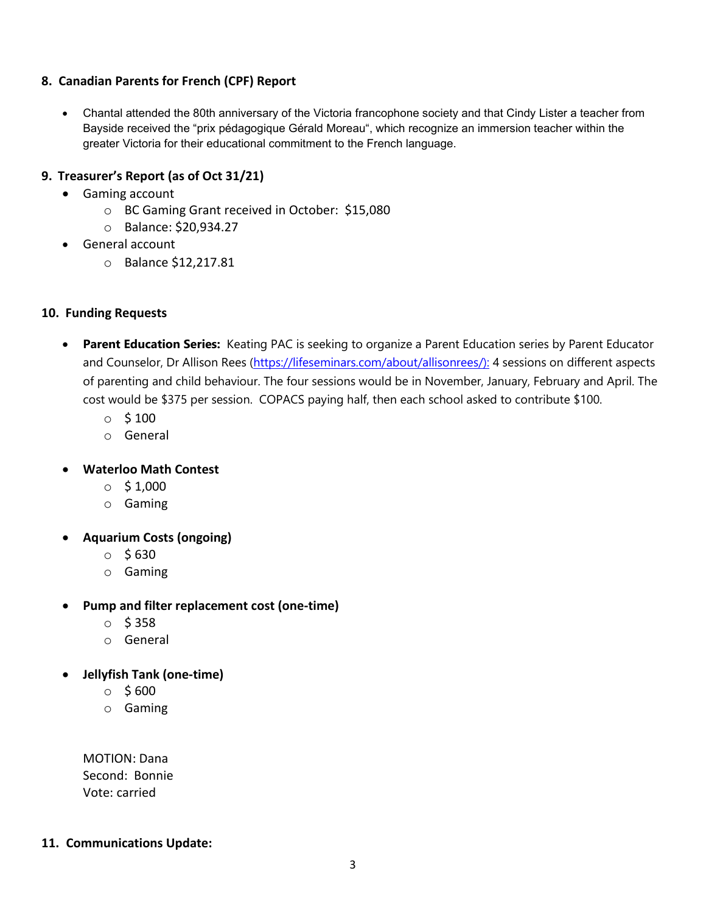#### **8. Canadian Parents for French (CPF) Report**

• Chantal attended the 80th anniversary of the Victoria francophone society and that Cindy Lister a teacher from Bayside received the "prix pédagogique Gérald Moreau", which recognize an immersion teacher within the greater Victoria for their educational commitment to the French language.

#### **9. Treasurer's Report (as of Oct 31/21)**

- Gaming account
	- o BC Gaming Grant received in October: \$15,080
	- o Balance: \$20,934.27
- General account
	- o Balance \$12,217.81

#### **10. Funding Requests**

- **Parent Education Series:** Keating PAC is seeking to organize a Parent Education series by Parent Educator and Counselor, Dr Allison Rees [\(https://lifeseminars.com/about/allisonrees/\):](https://lifeseminars.com/about/allisonrees/):) 4 sessions on different aspects of parenting and child behaviour. The four sessions would be in November, January, February and April. The cost would be \$375 per session. COPACS paying half, then each school asked to contribute \$100.
	- $\circ$  \$ 100
	- o General
- **Waterloo Math Contest**
	- $\circ$  \$ 1,000
	- o Gaming
- **Aquarium Costs (ongoing)**
	- $\circ$  \$630
	- o Gaming
- **Pump and filter replacement cost (one-time)**
	- $O$  \$ 358
	- o General
- **Jellyfish Tank (one-time)**
	- $\circ$  \$600
	- o Gaming

MOTION: Dana Second: Bonnie Vote: carried

#### **11. Communications Update:**